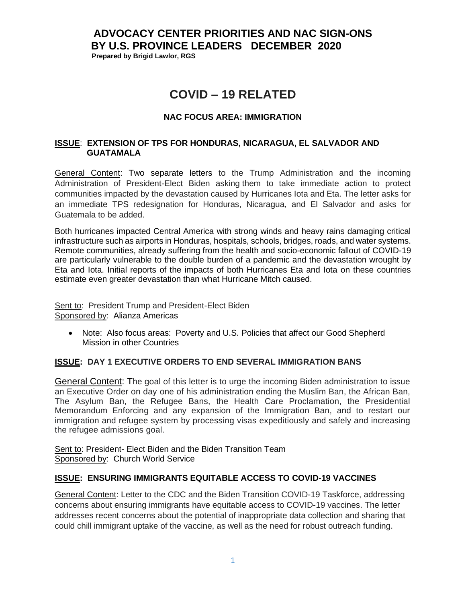# **ADVOCACY CENTER PRIORITIES AND NAC SIGN-ONS BY U.S. PROVINCE LEADERS DECEMBER 2020 Prepared by Brigid Lawlor, RGS**

# **COVID – 19 RELATED**

## **NAC FOCUS AREA: IMMIGRATION**

#### **ISSUE**: **EXTENSION OF TPS FOR HONDURAS, NICARAGUA, EL SALVADOR AND GUATAMALA**

General Content: Two separate letters to the Trump Administration and the incoming Administration of President-Elect Biden asking them to take immediate action to protect communities impacted by the devastation caused by Hurricanes Iota and Eta. The letter asks for an immediate TPS redesignation for Honduras, Nicaragua, and El Salvador and asks for Guatemala to be added.

Both hurricanes impacted Central America with strong winds and heavy rains damaging critical infrastructure such as airports in Honduras, hospitals, schools, bridges, roads, and water systems. Remote communities, already suffering from the health and socio-economic fallout of COVID-19 are particularly vulnerable to the double burden of a pandemic and the devastation wrought by Eta and Iota. Initial reports of the impacts of both Hurricanes Eta and Iota on these countries estimate even greater devastation than what Hurricane Mitch caused.

Sent to: President Trump and President-Elect Biden Sponsored by: Alianza Americas

• Note: Also focus areas: Poverty and U.S. Policies that affect our Good Shepherd Mission in other Countries

#### **ISSUE: DAY 1 EXECUTIVE ORDERS TO END SEVERAL IMMIGRATION BANS**

General Content: The goal of this letter is to urge the incoming Biden administration to issue an Executive Order on day one of his administration ending the Muslim Ban, the African Ban, The Asylum Ban, the Refugee Bans, the Health Care Proclamation, the Presidential Memorandum Enforcing and any expansion of the Immigration Ban, and to restart our immigration and refugee system by processing visas expeditiously and safely and increasing the refugee admissions goal.

Sent to: President- Elect Biden and the Biden Transition Team Sponsored by: Church World Service

#### **ISSUE: ENSURING IMMIGRANTS EQUITABLE ACCESS TO COVID-19 VACCINES**

General Content: Letter to the CDC and the Biden Transition COVID-19 Taskforce, addressing concerns about ensuring immigrants have equitable access to COVID-19 vaccines. The letter addresses recent concerns about the potential of inappropriate data collection and sharing that could chill immigrant uptake of the vaccine, as well as the need for robust outreach funding.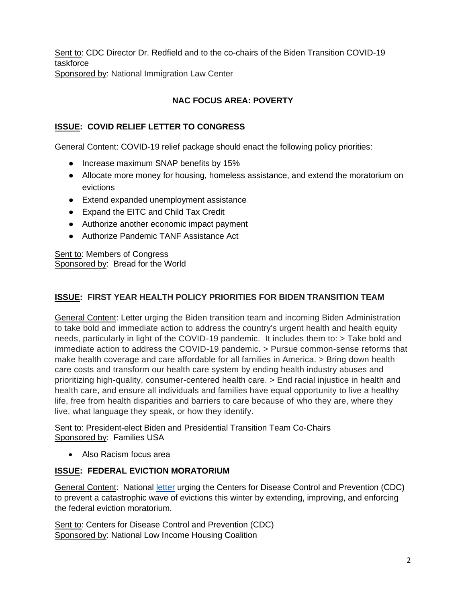Sent to: CDC Director Dr. Redfield and to the co-chairs of the Biden Transition COVID-19 taskforce Sponsored by: National Immigration Law Center

# **NAC FOCUS AREA: POVERTY**

# **ISSUE: COVID RELIEF LETTER TO CONGRESS**

General Content: COVID-19 relief package should enact the following policy priorities:

- Increase maximum SNAP benefits by 15%
- Allocate more money for housing, homeless assistance, and extend the moratorium on evictions
- Extend expanded unemployment assistance
- Expand the EITC and Child Tax Credit
- Authorize another economic impact payment
- Authorize Pandemic TANF Assistance Act

Sent to: Members of Congress Sponsored by: Bread for the World

## **ISSUE: FIRST YEAR HEALTH POLICY PRIORITIES FOR BIDEN TRANSITION TEAM**

General Content: Letter urging the Biden transition team and incoming Biden Administration to take bold and immediate action to address the country's urgent health and health equity needs, particularly in light of the COVID-19 pandemic. It includes them to: > Take bold and immediate action to address the COVID-19 pandemic. > Pursue common-sense reforms that make health coverage and care affordable for all families in America. > Bring down health care costs and transform our health care system by ending health industry abuses and prioritizing high-quality, consumer-centered health care. > End racial injustice in health and health care, and ensure all individuals and families have equal opportunity to live a healthy life, free from health disparities and barriers to care because of who they are, where they live, what language they speak, or how they identify.

Sent to: President-elect Biden and Presidential Transition Team Co-Chairs Sponsored by: Families USA

• Also Racism focus area

#### **ISSUE: FEDERAL EVICTION MORATORIUM**

General Content: National [letter](https://nlihc.us4.list-manage.com/track/click?u=e702259618becdc3f0451bd5d&id=3c33d0c972&e=41f80a770c) urging the Centers for Disease Control and Prevention (CDC) to prevent a catastrophic wave of evictions this winter by extending, improving, and enforcing the federal eviction moratorium.

Sent to: Centers for Disease Control and Prevention (CDC) Sponsored by: National Low Income Housing Coalition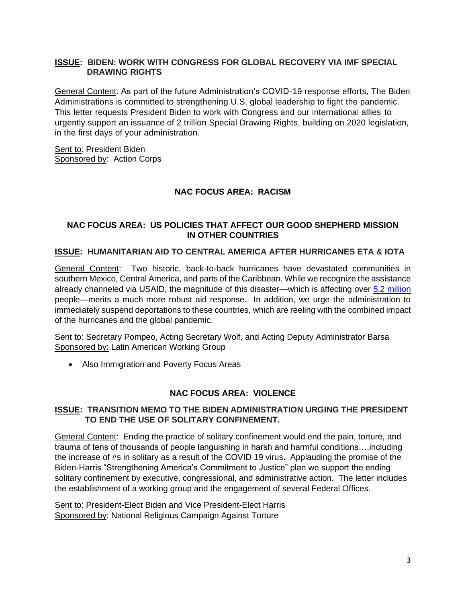#### **ISSUE: BIDEN: WORK WITH CONGRESS FOR GLOBAL RECOVERY VIA IMF SPECIAL DRAWING RIGHTS**

General Content: As part of the future Administration's COVID-19 response efforts, The Biden Administrations is committed to strengthening U.S. global leadership to fight the pandemic. This letter requests President Biden to work with Congress and our international allies to urgently support an issuance of 2 trillion Special Drawing Rights, building on 2020 legislation, in the first days of your administration.

Sent to: President Biden Sponsored by: Action Corps

#### **NAC FOCUS AREA: RACISM**

## **NAC FOCUS AREA: US POLICIES THAT AFFECT OUR GOOD SHEPHERD MISSION IN OTHER COUNTRIES**

#### **ISSUE: HUMANITARIAN AID TO CENTRAL AMERICA AFTER HURRICANES ETA & IOTA**

General Content: Two historic, back-to-back hurricanes have devastated communities in southern Mexico, Central America, and parts of the Caribbean. While we recognize the assistance already channeled via USAID, the magnitude of this disaster—which is affecting over [5.2 million](https://reliefweb.int/report/honduras/latin-america-caribbean-2020-hurricane-season-situation-report-no-4-500pm-est-20) people—merits a much more robust aid response. In addition, we urge the administration to immediately suspend deportations to these countries, which are reeling with the combined impact of the hurricanes and the global pandemic.

Sent to: Secretary Pompeo, Acting Secretary Wolf, and Acting Deputy Administrator Barsa Sponsored by: Latin American Working Group

• Also Immigration and Poverty Focus Areas

#### **NAC FOCUS AREA: VIOLENCE**

#### **ISSUE: TRANSITION MEMO TO THE BIDEN ADMINISTRATION URGING THE PRESIDENT TO END THE USE OF SOLITARY CONFINEMENT.**

General Content: Ending the practice of solitary confinement would end the pain, torture, and trauma of tens of thousands of people languishing in harsh and harmful conditions….including the increase of #s in solitary as a result of the COVID 19 virus. Applauding the promise of the Biden-Harris "Strengthening America's Commitment to Justice" plan we support the ending solitary confinement by executive, congressional, and administrative action. The letter includes the establishment of a working group and the engagement of several Federal Offices.

Sent to: President-Elect Biden and Vice President-Elect Harris Sponsored by: National Religious Campaign Against Torture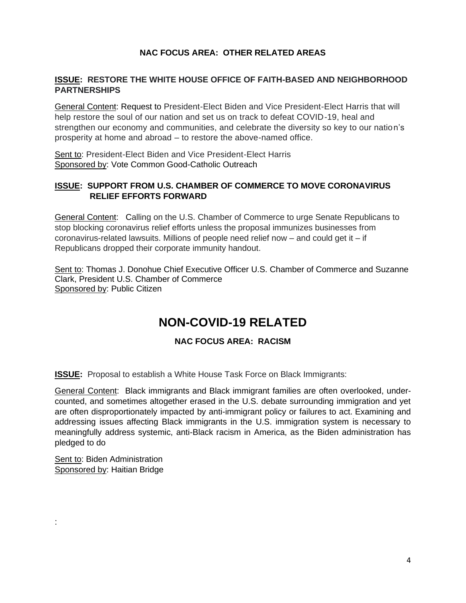# **NAC FOCUS AREA: OTHER RELATED AREAS**

#### **ISSUE: RESTORE THE WHITE HOUSE OFFICE OF FAITH-BASED AND NEIGHBORHOOD PARTNERSHIPS**

General Content: Request to President-Elect Biden and Vice President-Elect Harris that will help restore the soul of our nation and set us on track to defeat COVID-19, heal and strengthen our economy and communities, and celebrate the diversity so key to our nation's prosperity at home and abroad – to restore the above-named office.

Sent to: President-Elect Biden and Vice President-Elect Harris Sponsored by: Vote Common Good-Catholic Outreach

# **ISSUE: SUPPORT FROM U.S. CHAMBER OF COMMERCE TO MOVE CORONAVIRUS RELIEF EFFORTS FORWARD**

General Content: Calling on the U.S. Chamber of Commerce to urge Senate Republicans to stop blocking coronavirus relief efforts unless the proposal immunizes businesses from coronavirus-related lawsuits. Millions of people need relief now  $-$  and could get it  $-$  if Republicans dropped their corporate immunity handout.

Sent to: Thomas J. Donohue Chief Executive Officer U.S. Chamber of Commerce and Suzanne Clark, President U.S. Chamber of Commerce Sponsored by: Public Citizen

# **NON-COVID-19 RELATED**

# **NAC FOCUS AREA: RACISM**

**ISSUE:** Proposal to establish a White House Task Force on Black Immigrants:

General Content: Black immigrants and Black immigrant families are often overlooked, undercounted, and sometimes altogether erased in the U.S. debate surrounding immigration and yet are often disproportionately impacted by anti-immigrant policy or failures to act. Examining and addressing issues affecting Black immigrants in the U.S. immigration system is necessary to meaningfully address systemic, anti-Black racism in America, as the Biden administration has pledged to do

Sent to: Biden Administration Sponsored by: Haitian Bridge

: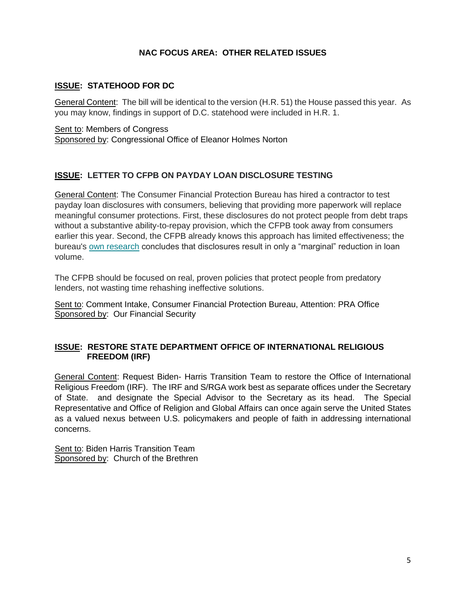# **NAC FOCUS AREA: OTHER RELATED ISSUES**

## **ISSUE: STATEHOOD FOR DC**

General Content: The bill will be identical to the version (H.R. 51) the House passed this year. As you may know, findings in support of D.C. statehood were included in H.R. 1.

Sent to: Members of Congress Sponsored by: Congressional Office of Eleanor Holmes Norton

#### **ISSUE: LETTER TO CFPB ON PAYDAY LOAN DISCLOSURE TESTING**

General Content: The Consumer Financial Protection Bureau has hired a contractor to test payday loan disclosures with consumers, believing that providing more paperwork will replace meaningful consumer protections. First, these disclosures do not protect people from debt traps without a substantive ability-to-repay provision, which the CFPB took away from consumers earlier this year. Second, the CFPB already knows this approach has limited effectiveness; the bureau's [own research](https://ourfinancialsecurity.us9.list-manage.com/track/click?u=b5b4e3a17622ba2e5f1c9d1ff&id=01df48a412&e=b5341d4f51) concludes that disclosures result in only a "marginal" reduction in loan volume.

The CFPB should be focused on real, proven policies that protect people from predatory lenders, not wasting time rehashing ineffective solutions.

Sent to: Comment Intake, Consumer Financial Protection Bureau, Attention: PRA Office Sponsored by: Our Financial Security

## **ISSUE: RESTORE STATE DEPARTMENT OFFICE OF INTERNATIONAL RELIGIOUS FREEDOM (IRF)**

General Content: Request Biden- Harris Transition Team to restore the Office of International Religious Freedom (IRF). The IRF and S/RGA work best as separate offices under the Secretary of State. and designate the Special Advisor to the Secretary as its head. The Special Representative and Office of Religion and Global Affairs can once again serve the United States as a valued nexus between U.S. policymakers and people of faith in addressing international concerns.

Sent to: Biden Harris Transition Team Sponsored by: Church of the Brethren